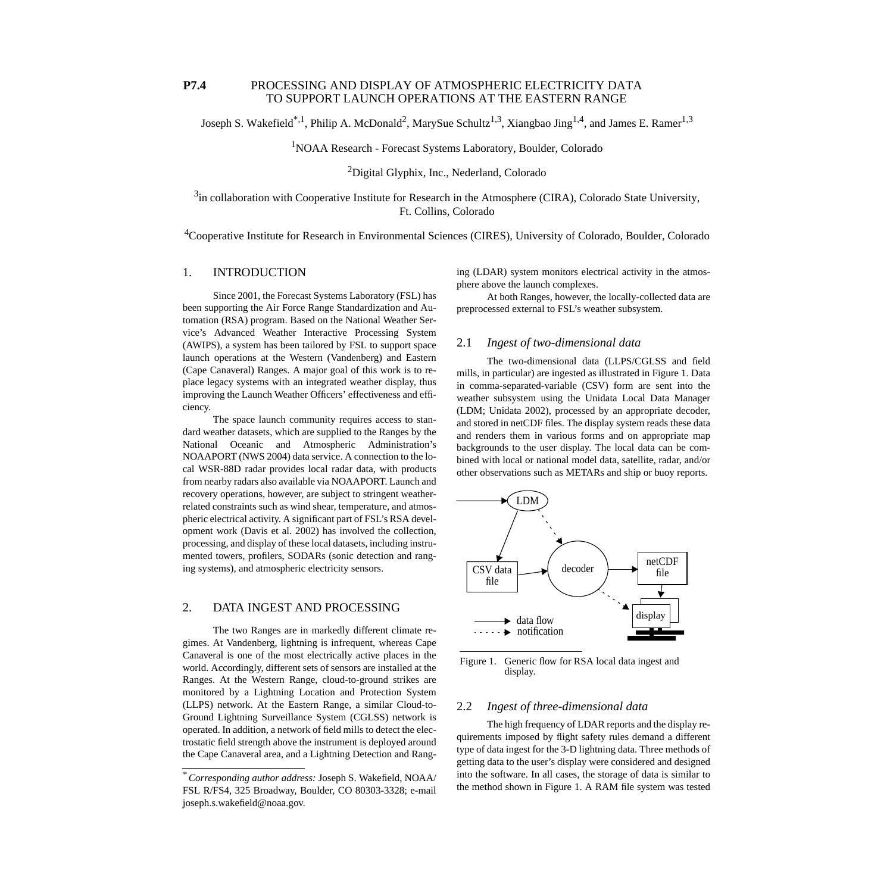# **P7.4** PROCESSING AND DISPLAY OF ATMOSPHERIC ELECTRICITY DATA TO SUPPORT LAUNCH OPERATIONS AT THE EASTERN RANGE

Joseph S. Wakefield<sup>\*,1</sup>, Philip A. McDonald<sup>2</sup>, MarySue Schultz<sup>1,3</sup>, Xiangbao Jing<sup>1,4</sup>, and James E. Ramer<sup>1,3</sup>

<sup>1</sup>NOAA Research - Forecast Systems Laboratory, Boulder, Colorado

2Digital Glyphix, Inc., Nederland, Colorado

 $3$ in collaboration with Cooperative Institute for Research in the Atmosphere (CIRA), Colorado State University, Ft. Collins, Colorado

<sup>4</sup>Cooperative Institute for Research in Environmental Sciences (CIRES), University of Colorado, Boulder, Colorado

# 1. INTRODUCTION

Since 2001, the Forecast Systems Laboratory (FSL) has been supporting the Air Force Range Standardization and Automation (RSA) program. Based on the National Weather Service's Advanced Weather Interactive Processing System (AWIPS), a system has been tailored by FSL to support space launch operations at the Western (Vandenberg) and Eastern (Cape Canaveral) Ranges. A major goal of this work is to replace legacy systems with an integrated weather display, thus improving the Launch Weather Officers' effectiveness and efficiency.

The space launch community requires access to standard weather datasets, which are supplied to the Ranges by the National Oceanic and Atmospheric Administration's NOAAPORT (NWS 2004) data service. A connection to the local WSR-88D radar provides local radar data, with products from nearby radars also available via NOAAPORT. Launch and recovery operations, however, are subject to stringent weatherrelated constraints such as wind shear, temperature, and atmospheric electrical activity. A significant part of FSL's RSA development work (Davis et al. 2002) has involved the collection, processing, and display of these local datasets, including instrumented towers, profilers, SODARs (sonic detection and ranging systems), and atmospheric electricity sensors.

# 2. DATA INGEST AND PROCESSING

The two Ranges are in markedly different climate regimes. At Vandenberg, lightning is infrequent, whereas Cape Canaveral is one of the most electrically active places in the world. Accordingly, different sets of sensors are installed at the Ranges. At the Western Range, cloud-to-ground strikes are monitored by a Lightning Location and Protection System (LLPS) network. At the Eastern Range, a similar Cloud-to-Ground Lightning Surveillance System (CGLSS) network is operated. In addition, a network of field mills to detect the electrostatic field strength above the instrument is deployed around the Cape Canaveral area, and a Lightning Detection and Ranging (LDAR) system monitors electrical activity in the atmosphere above the launch complexes.

At both Ranges, however, the locally-collected data are preprocessed external to FSL's weather subsystem.

### 2.1 *Ingest of two-dimensional data*

The two-dimensional data (LLPS/CGLSS and field mills, in particular) are ingested as illustrated in [Figure 1.](#page-0-0) Data in comma-separated-variable (CSV) form are sent into the weather subsystem using the Unidata Local Data Manager (LDM; Unidata 2002), processed by an appropriate decoder, and stored in netCDF files. The display system reads these data and renders them in various forms and on appropriate map backgrounds to the user display. The local data can be combined with local or national model data, satellite, radar, and/or other observations such as METARs and ship or buoy reports.



<span id="page-0-0"></span>Figure 1. Generic flow for RSA local data ingest and display.

# 2.2 *Ingest of three-dimensional data*

The high frequency of LDAR reports and the display requirements imposed by flight safety rules demand a different type of data ingest for the 3-D lightning data. Three methods of getting data to the user's display were considered and designed into the software. In all cases, the storage of data is similar to the method shown in [Figure 1](#page-0-0). A RAM file system was tested

*<sup>\*</sup> Corresponding author address:* Joseph S. Wakefield, NOAA/ FSL R/FS4, 325 Broadway, Boulder, CO 80303-3328; e-mail joseph.s.wakefield@noaa.gov.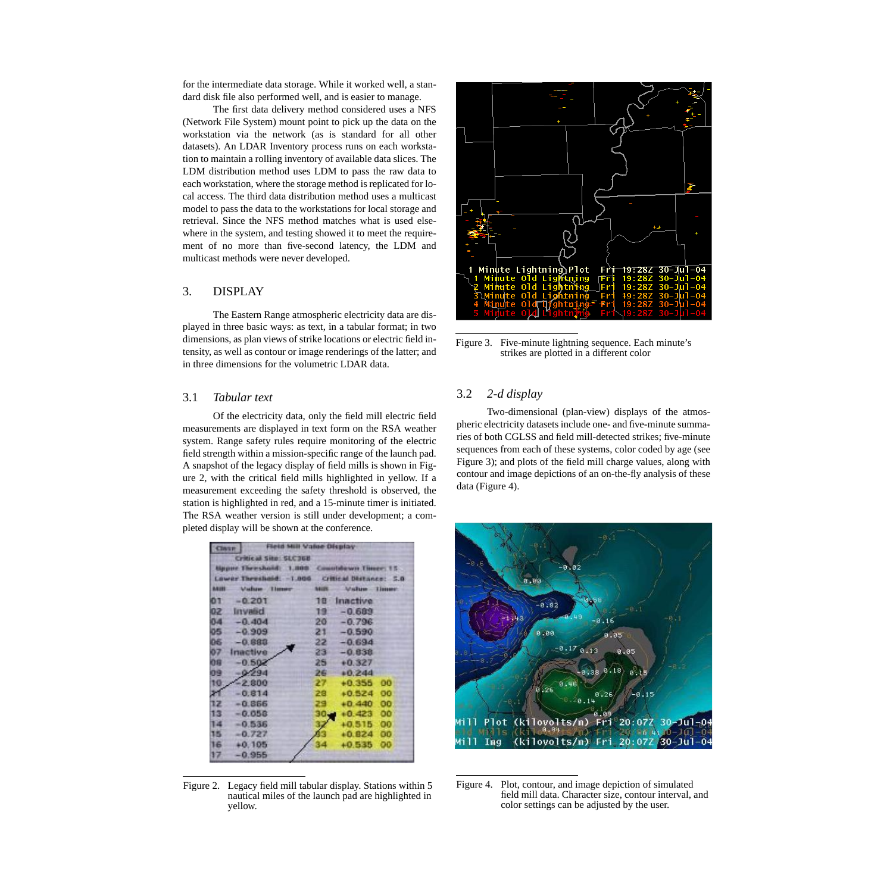for the intermediate data storage. While it worked well, a standard disk file also performed well, and is easier to manage.

The first data delivery method considered uses a NFS (Network File System) mount point to pick up the data on the workstation via the network (as is standard for all other datasets). An LDAR Inventory process runs on each workstation to maintain a rolling inventory of available data slices. The LDM distribution method uses LDM to pass the raw data to each workstation, where the storage method is replicated for local access. The third data distribution method uses a multicast model to pass the data to the workstations for local storage and retrieval. Since the NFS method matches what is used elsewhere in the system, and testing showed it to meet the requirement of no more than five-second latency, the LDM and multicast methods were never developed.

# 3. DISPLAY

The Eastern Range atmospheric electricity data are displayed in three basic ways: as text, in a tabular format; in two dimensions, as plan views of strike locations or electric field intensity, as well as contour or image renderings of the latter; and in three dimensions for the volumetric LDAR data.

#### 3.1 *Tabular text*

Of the electricity data, only the field mill electric field measurements are displayed in text form on the RSA weather system. Range safety rules require monitoring of the electric field strength within a mission-specific range of the launch pad. A snapshot of the legacy display of field mills is shown in [Fig](#page-1-0)[ure 2](#page-1-0), with the critical field mills highlighted in yellow. If a measurement exceeding the safety threshold is observed, the station is highlighted in red, and a 15-minute timer is initiated. The RSA weather version is still under development; a completed display will be shown at the conference.

| Field Mill Value Display<br><b>CHATE</b>        |              |              |                 |
|-------------------------------------------------|--------------|--------------|-----------------|
| Critical Site: SLC368                           |              |              |                 |
| Upper Threshold: 1,000 Countdown Timer: 15.     |              |              |                 |
| Lower Throshold: - 1,006 Critical Distance: 5.0 |              |              |                 |
| <b>BASH</b>                                     | Value Timer  | <b>NAVES</b> | Value limes     |
| 01                                              | $-0.201$     | 18           | Inactive        |
|                                                 | 02 Invalid   | 19           | $-0.689$        |
| 0.4                                             | $-0.404$     |              | $20 - 0.796$    |
|                                                 | $05 - 0.909$ | $21 -$       | $-0.590$        |
| 06                                              | $-0.880$     | 22           | $-0.694$        |
| 07                                              | Inactive     | 23           | $-0.838$        |
| 和田                                              | $-0.502$     | 25           | $+0.327$        |
| 109                                             | $-0.294$     | 26           | $+0.244$        |
| 10                                              | $-2.800$     | 27           | $+0.355$<br>00  |
| 31                                              | $-0.814$     | 28           | oo<br>$+0.524$  |
| 12                                              | $-0.866$     | 29           | 00<br>$+0.440$  |
| 13                                              | $-0.058$     | 30,          | $+0.423$<br>oo  |
| 14                                              | $-0.536$     | 32           | $+0.515$<br>00  |
| 15                                              | $-0.727$     |              | $+0.824$<br>OO. |
| 16                                              | $+0.105$     | 34           | OO<br>$+0.535$  |
| 17                                              | $-0.955$     |              |                 |

<span id="page-1-0"></span>Figure 2. Legacy field mill tabular display. Stations within 5 nautical miles of the launch pad are highlighted in yellow.



<span id="page-1-1"></span>Figure 3. Five-minute lightning sequence. Each minute's strikes are plotted in a different color

# 3.2 *2-d display*

Two-dimensional (plan-view) displays of the atmospheric electricity datasets include one- and five-minute summaries of both CGLSS and field mill-detected strikes; five-minute sequences from each of these systems, color coded by age (see [Figure 3](#page-1-1)); and plots of the field mill charge values, along with contour and image depictions of an on-the-fly analysis of these data [\(Figure 4](#page-1-2)).



<span id="page-1-2"></span>Figure 4. Plot, contour, and image depiction of simulated field mill data. Character size, contour interval, and color settings can be adjusted by the user.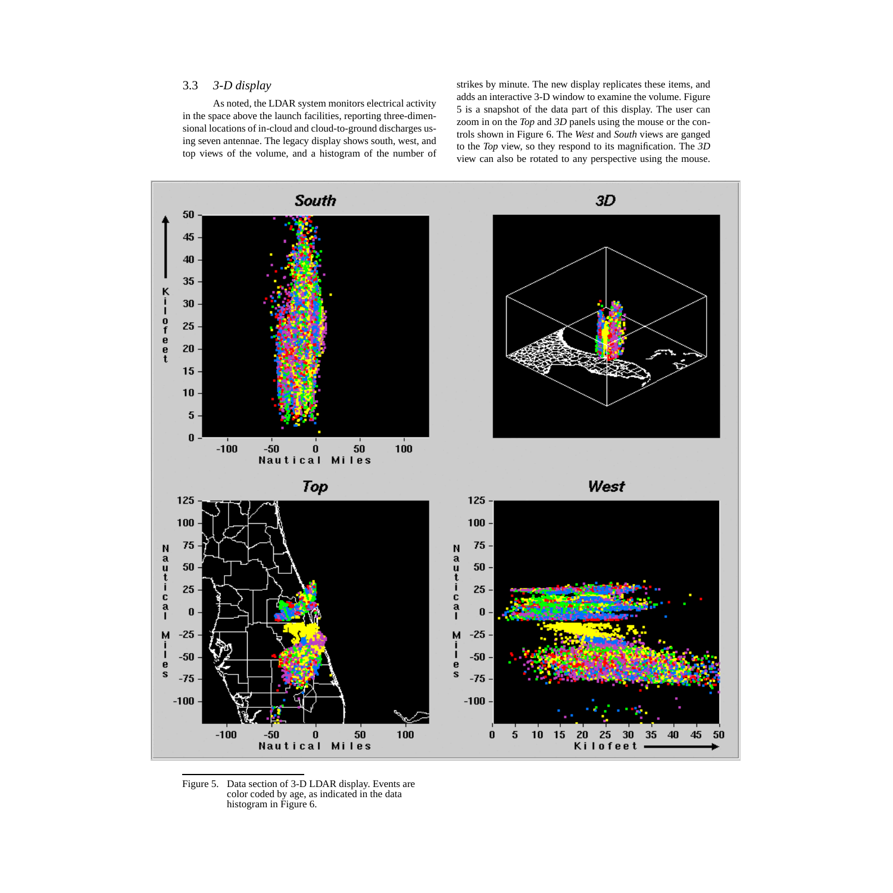# 3.3 *3-D display*

As noted, the LDAR system monitors electrical activity in the space above the launch facilities, reporting three-dimensional locations of in-cloud and cloud-to-ground discharges using seven antennae. The legacy display shows south, west, and top views of the volume, and a histogram of the number of strikes by minute. The new display replicates these items, and adds an interactive 3-D window to examine the volume. [Figure](#page-2-0) [5](#page-2-0) is a snapshot of the data part of this display. The user can zoom in on the *Top* and *3D* panels using the mouse or the controls shown in [Figure 6.](#page-3-0) The *West* and *South* views are ganged to the *Top* view, so they respond to its magnification. The *3D* view can also be rotated to any perspective using the mouse.



<span id="page-2-0"></span>Figure 5. Data section of 3-D LDAR display. Events are color coded by age, as indicated in the data histogram in [Figure 6](#page-3-0).